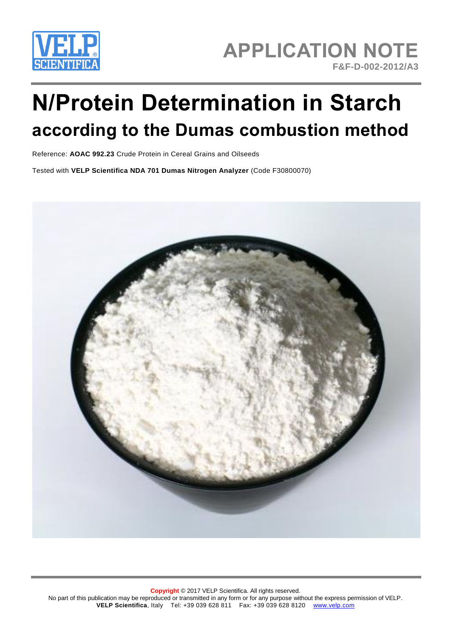

## **APPLICATION NOTE F&F-D-002-2012/A3**

# **N/Protein Determination in Starch according to the Dumas combustion method**

Reference: **AOAC 992.23** Crude Protein in Cereal Grains and Oilseeds

Tested with **VELP Scientifica NDA 701 Dumas Nitrogen Analyzer** (Code F30800070)

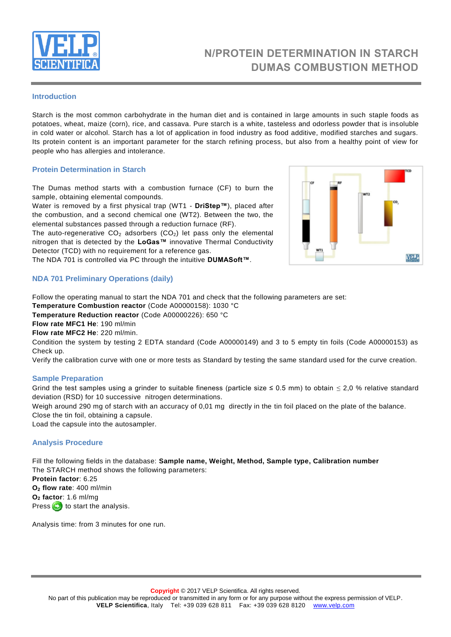

## **N/PROTEIN DETERMINATION IN STARCH DUMAS COMBUSTION METHOD**

#### **Introduction**

Starch is the most common carbohydrate in the human diet and is contained in large amounts in such [staple foods](http://en.wikipedia.org/wiki/Staple_food) as [potatoes,](http://en.wikipedia.org/wiki/Potato) [wheat,](http://en.wikipedia.org/wiki/Wheat) [maize](http://en.wikipedia.org/wiki/Maize) (corn), [rice,](http://en.wikipedia.org/wiki/Rice) and [cassava.](http://en.wikipedia.org/wiki/Cassava) Pure starch is a white, tasteless and odorless powder that is insoluble in cold water or alcohol. Starch has a lot of application in food industry as food additive, modified starches and sugars. Its protein content is an important parameter for the starch refining process, but also from a healthy point of view for people who has allergies and intolerance.

#### **Protein Determination in Starch**

The Dumas method starts with a combustion furnace (CF) to burn the sample, obtaining elemental compounds.

Water is removed by a first physical trap (WT1 - **DriStep™**), placed after the combustion, and a second chemical one (WT2). Between the two, the elemental substances passed through a reduction furnace (RF).

The auto-regenerative  $CO<sub>2</sub>$  adsorbers ( $CO<sub>2</sub>$ ) let pass only the elemental nitrogen that is detected by the **LoGas™** innovative Thermal Conductivity Detector (TCD) with no requirement for a reference gas.

The NDA 701 is controlled via PC through the intuitive **DUMASoft™**.



#### **NDA 701 Preliminary Operations (daily)**

Follow the operating manual to start the NDA 701 and check that the following parameters are set:

**Temperature Combustion reactor** (Code A00000158): 1030 °C

**Temperature Reduction reactor** (Code A00000226): 650 °C

**Flow rate MFC1 He**: 190 ml/min

**Flow rate MFC2 He**: 220 ml/min.

Condition the system by testing 2 EDTA standard (Code A00000149) and 3 to 5 empty tin foils (Code A00000153) as Check up.

Verify the calibration curve with one or more tests as Standard by testing the same standard used for the curve creation.

#### **Sample Preparation**

Grind the test samples using a grinder to suitable fineness (particle size  $\leq$  0.5 mm) to obtain  $\leq$  2,0 % relative standard deviation (RSD) for 10 successive nitrogen determinations.

Weigh around 290 mg of starch with an accuracy of 0,01 mg directly in the tin foil placed on the plate of the balance.

Close the tin foil, obtaining a capsule.

Load the capsule into the autosampler.

#### **Analysis Procedure**

Fill the following fields in the database: **Sample name, Weight, Method, Sample type, Calibration number** The STARCH method shows the following parameters:

**Protein factor**: 6.25 **O<sup>2</sup> flow rate**: 400 ml/min **O<sup>2</sup> factor**: 1.6 ml/mg Press  $\bullet$  to start the analysis.

Analysis time: from 3 minutes for one run.